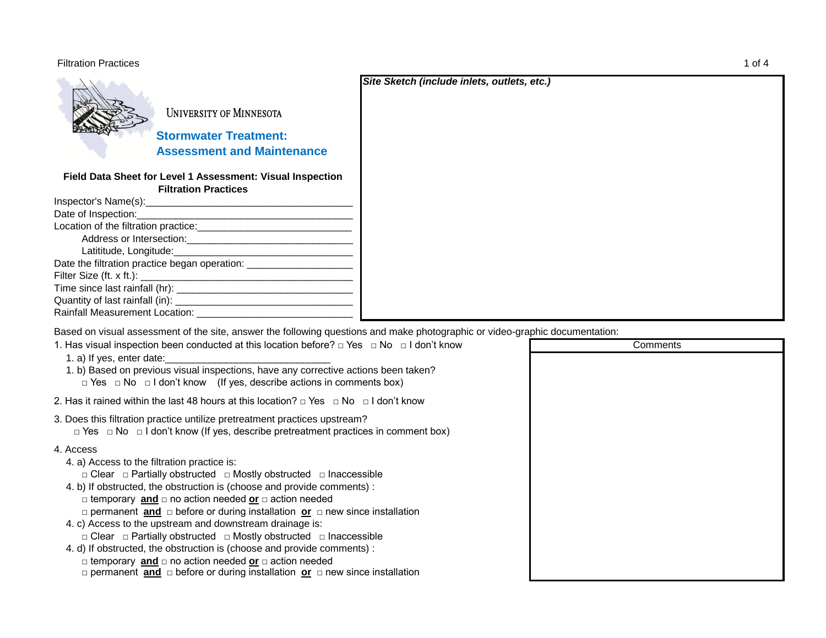## Filtration Practices 1 of 4



UNIVERSITY OF MINNESOTA

 **Stormwater Treatment: Assessment and Maintenance**

## **Field Data Sheet for Level 1 Assessment: Visual Inspection Filtration Practices**

| Inspector's Name(s):                                                             |  |
|----------------------------------------------------------------------------------|--|
| Date of Inspection:                                                              |  |
| Location of the filtration practice:                                             |  |
| Address or Intersection:                                                         |  |
| Latititude, Longitude:                                                           |  |
| Date the filtration practice began operation: __________________________________ |  |
| Filter Size (ft. x ft.):                                                         |  |
| Time since last rainfall (hr): _____                                             |  |
| Quantity of last rainfall (in):                                                  |  |
| Rainfall Measurement Location:                                                   |  |

Based on visual assessment of the site, answer the following questions and make photographic or video-graphic documentation:

| 1. Has visual inspection been conducted at this location before? $\Box$ Yes $\Box$ No $\Box$ I don't know<br>1. a) If yes, enter date:<br>1. b) Based on previous visual inspections, have any corrective actions been taken?<br>$\Box$ Yes $\Box$ No $\Box$ I don't know (If yes, describe actions in comments box)                                                                                                                                                                                                                                                                                                                                                                                                                                                                                    |  |
|---------------------------------------------------------------------------------------------------------------------------------------------------------------------------------------------------------------------------------------------------------------------------------------------------------------------------------------------------------------------------------------------------------------------------------------------------------------------------------------------------------------------------------------------------------------------------------------------------------------------------------------------------------------------------------------------------------------------------------------------------------------------------------------------------------|--|
| 2. Has it rained within the last 48 hours at this location? $\Box$ Yes $\Box$ No $\Box$ I don't know                                                                                                                                                                                                                                                                                                                                                                                                                                                                                                                                                                                                                                                                                                    |  |
| 3. Does this filtration practice untilize pretreatment practices upstream?<br>$\Box$ Yes $\Box$ No $\Box$ I don't know (If yes, describe pretreatment practices in comment box)                                                                                                                                                                                                                                                                                                                                                                                                                                                                                                                                                                                                                         |  |
| 4. Access<br>4. a) Access to the filtration practice is:<br>$\Box$ Clear $\Box$ Partially obstructed $\Box$ Mostly obstructed $\Box$ Inaccessible<br>4. b) If obstructed, the obstruction is (choose and provide comments) :<br>$\Box$ temporary and $\Box$ no action needed or $\Box$ action needed<br>□ permanent <b>and</b> □ before or during installation <b>or</b> □ new since installation<br>4. c) Access to the upstream and downstream drainage is:<br>$\Box$ Clear $\Box$ Partially obstructed $\Box$ Mostly obstructed $\Box$ Inaccessible<br>4. d) If obstructed, the obstruction is (choose and provide comments) :<br>$\Box$ temporary and $\Box$ no action needed or $\Box$ action needed<br>$\Box$ permanent and $\Box$ before or during installation or $\Box$ new since installation |  |

**Comments** 

*Site Sketch (include inlets, outlets, etc.)*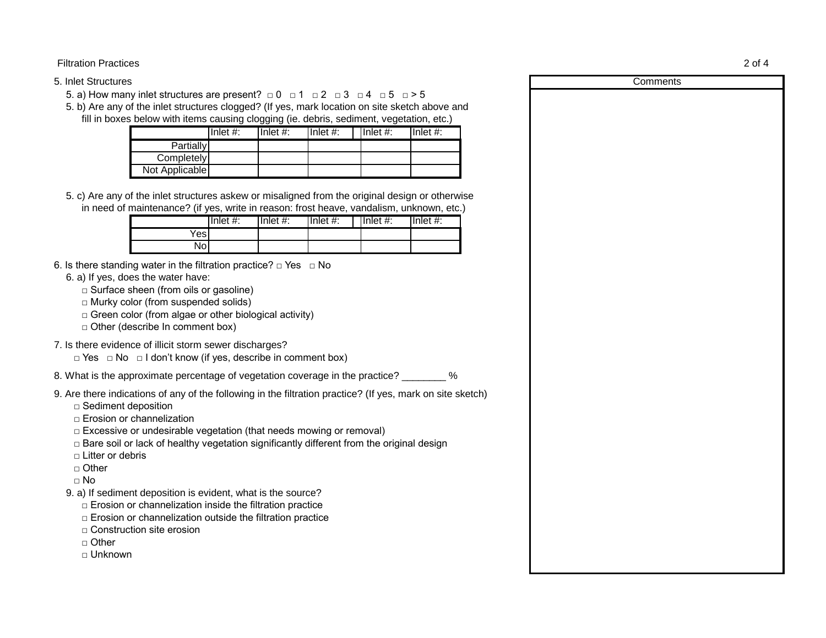5. Inlet Structures

5. a) How many inlet structures are present?  $\Box$  0  $\Box$  1  $\Box$  2  $\Box$  3  $\Box$  4  $\Box$  5  $\Box$  > 5

5. b) Are any of the inlet structures clogged? (If yes, mark location on site sketch above and fill in boxes below with items causing clogging (ie. debris, sediment, vegetation, etc.)

|                  | Inlet $#$ : | Inlet $#$ : | Inlet $#$ : | Inlet $#$ : | Inlet $#$ : |
|------------------|-------------|-------------|-------------|-------------|-------------|
| <b>Partially</b> |             |             |             |             |             |
| Completely       |             |             |             |             |             |
| Not Applicable   |             |             |             |             |             |

5. c) Are any of the inlet structures askew or misaligned from the original design or otherwise in need of maintenance? (if yes, write in reason: frost heave, vandalism, unknown, etc.)

|      | Inlet $#$ : | Inlet $#$ : | Inlet $#$ : | Inlet $#$ : | $I$ Inlet #: |
|------|-------------|-------------|-------------|-------------|--------------|
| ɗesI |             |             |             |             |              |
| Nol  |             |             |             |             |              |

- 6. Is there standing water in the filtration practice?  $\Box$  Yes  $\Box$  No
	- 6. a) If yes, does the water have:
		- □ Surface sheen (from oils or gasoline)
		- □ Murky color (from suspended solids)
		- $\Box$  Green color (from algae or other biological activity)
		- □ Other (describe In comment box)
- 7. Is there evidence of illicit storm sewer discharges?
	- □ Yes □ No □ I don't know (if yes, describe in comment box)
- 8. What is the approximate percentage of vegetation coverage in the practice?  $\%$
- 9. Are there indications of any of the following in the filtration practice? (If yes, mark on site sketch)
	- □ Sediment deposition
	- □ Erosion or channelization
	- $\Box$  Excessive or undesirable vegetation (that needs mowing or removal)
	- $\Box$  Bare soil or lack of healthy vegetation significantly different from the original design
	- □ Litter or debris
	- □ Other
	- $\neg$  No
	- 9. a) If sediment deposition is evident, what is the source?
		- $\Box$  Erosion or channelization inside the filtration practice
		- $\Box$  Erosion or channelization outside the filtration practice
		- □ Construction site erosion
		- □ Other
		- □ Unknown

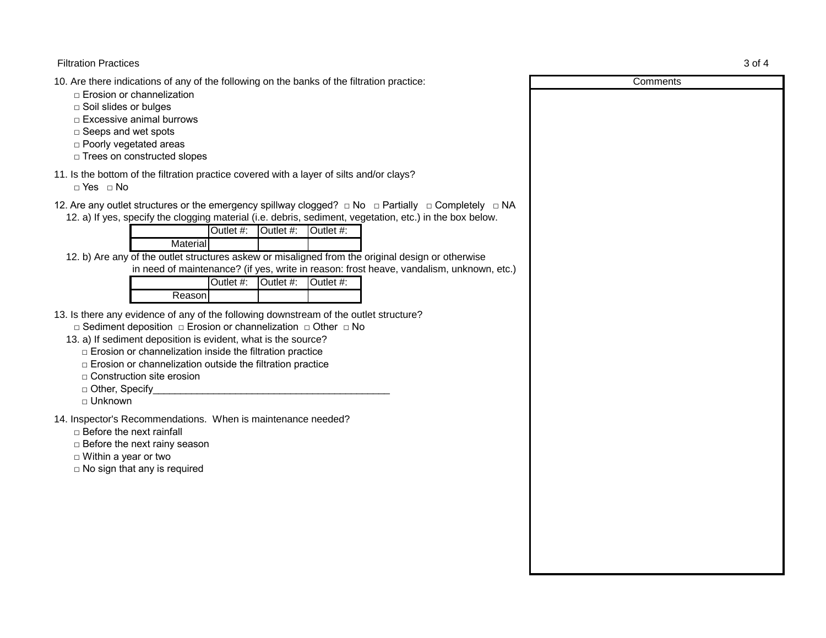Filtration Practices 3 of 4

10. Are there indications of any of the following on the banks of the filtration practice:

- □ Erosion or channelization
- □ Soil slides or bulges
- □ Excessive animal burrows
- □ Seeps and wet spots
- □ Poorly vegetated areas
- □ Trees on constructed slopes
- 11. Is the bottom of the filtration practice covered with a layer of silts and/or clays?

□ Yes □ No

12. Are any outlet structures or the emergency spillway clogged? □ No □ Partially □ Completely □ NA

12. a) If yes, specify the clogging material (i.e. debris, sediment, vegetation, etc.) in the box below.

|                                                            |  | $\overline{\text{1Out}}$ at $\#$ : $\overline{\text{1Out}}$ at $\#$ : $\overline{\text{1Out}}$ |  |  |  |
|------------------------------------------------------------|--|------------------------------------------------------------------------------------------------|--|--|--|
| Material                                                   |  |                                                                                                |  |  |  |
| af tha author structures solcours and solomond from the se |  |                                                                                                |  |  |  |

12. b) Are any of the outlet structures askew or misaligned from the original design or otherwise

in need of maintenance? (if yes, write in reason: frost heave, vandalism, unknown, etc.)

|         | Outlet #:   Outlet #:   Outlet #: |  |
|---------|-----------------------------------|--|
| Reasonl |                                   |  |

- 13. Is there any evidence of any of the following downstream of the outlet structure?
	- □ Sediment deposition □ Erosion or channelization □ Other □ No
	- 13. a) If sediment deposition is evident, what is the source?
		- □ Erosion or channelization inside the filtration practice
		- $\Box$  Erosion or channelization outside the filtration practice
		- □ Construction site erosion
		- $\Box$  Other, Specify
		- □ Unknown

14. Inspector's Recommendations. When is maintenance needed?

□ Before the next rainfall

- □ Before the next rainy season
- □ Within a year or two
- $\Box$  No sign that any is required

**Comments**